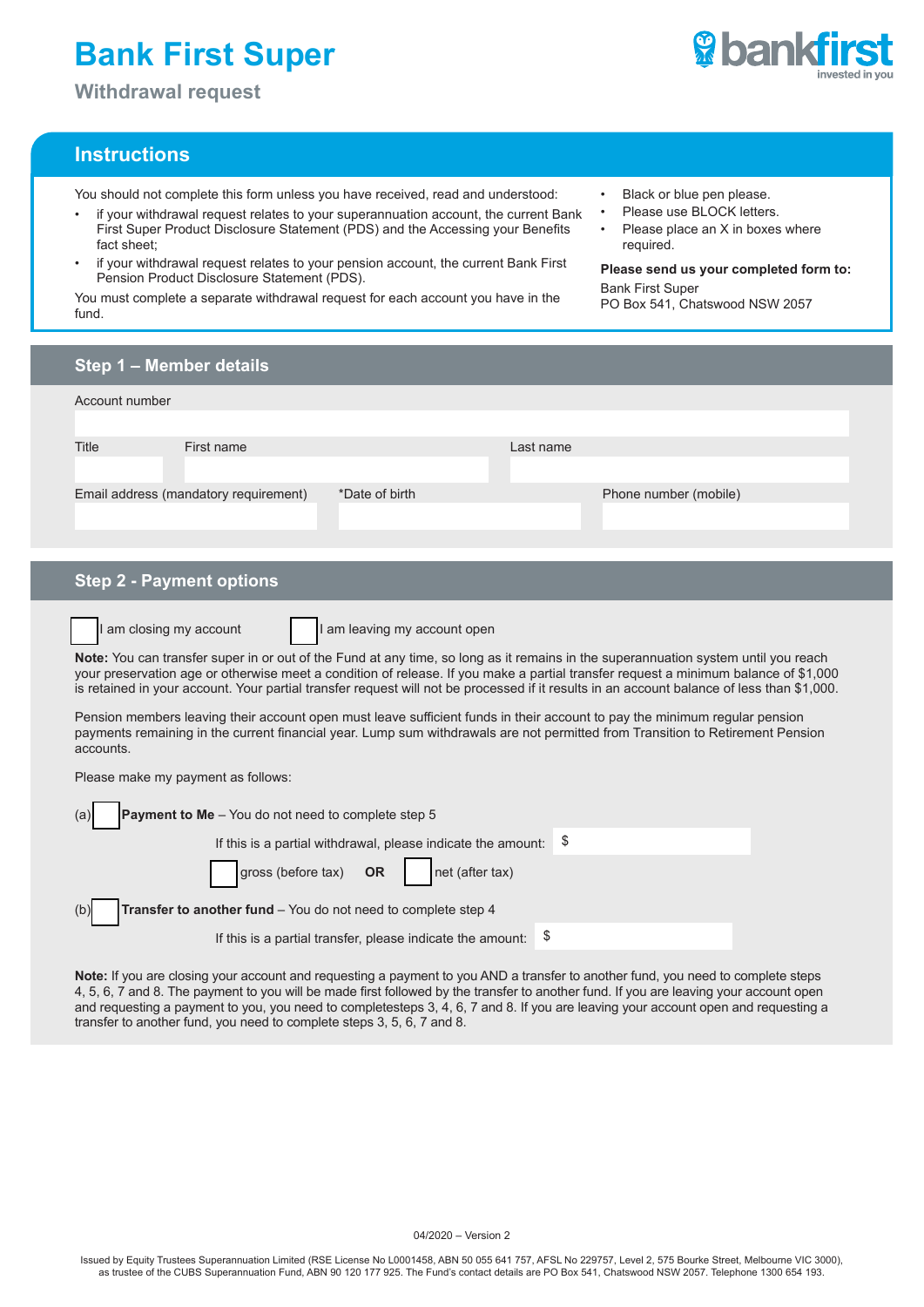# **Bank First Super**

**Withdrawal request**

### **Instructions**

You should not complete this form unless you have received, read and understood:

- if your withdrawal request relates to your superannuation account, the current Bank First Super Product Disclosure Statement (PDS) and the Accessing your Benefits fact sheet;
- if your withdrawal request relates to your pension account, the current Bank First Pension Product Disclosure Statement (PDS).

You must complete a separate withdrawal request for each account you have in the fund.

- Black or blue pen please.
- Please use BLOCK letters.
- Please place an X in boxes where required.

**Please send us your completed form to:** Bank First Super PO Box 541, Chatswood NSW 2057

**Step 1 – Member details Step 2 - Payment options** Account number Title First name Last name Email address (mandatory requirement)  $*$ Date of birth Phone number (mobile) I am closing my account  $\blacksquare$  I am leaving my account open **Note:** You can transfer super in or out of the Fund at any time, so long as it remains in the superannuation system until you reach your preservation age or otherwise meet a condition of release. If you make a partial transfer request a minimum balance of \$1,000 is retained in your account. Your partial transfer request will not be processed if it results in an account balance of less than \$1,000. Pension members leaving their account open must leave sufficient funds in their account to pay the minimum regular pension payments remaining in the current financial year. Lump sum withdrawals are not permitted from Transition to Retirement Pension accounts. Please make my payment as follows: (a) **Payment to Me** – You do not need to complete step 5 If this is a partial withdrawal, please indicate the amount: \$ gross (before tax) **OR** net (after tax) (b) **Transfer to another fund** – You do not need to complete step 4 If this is a partial transfer, please indicate the amount:  $$$ 

**Note:** If you are closing your account and requesting a payment to you AND a transfer to another fund, you need to complete steps 4, 5, 6, 7 and 8. The payment to you will be made first followed by the transfer to another fund. If you are leaving your account open and requesting a payment to you, you need to completesteps 3, 4, 6, 7 and 8. If you are leaving your account open and requesting a transfer to another fund, you need to complete steps 3, 5, 6, 7 and 8.

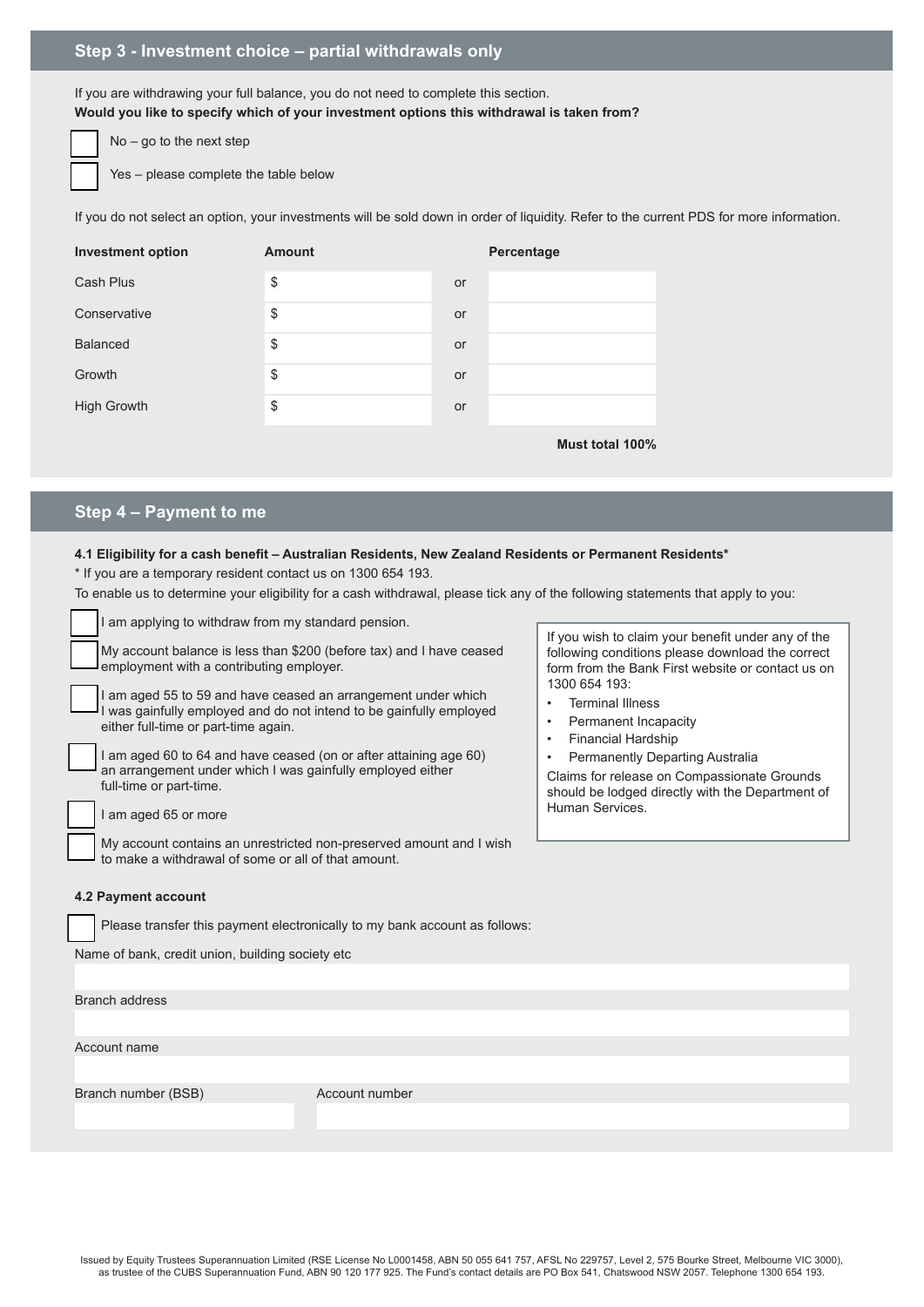## **Step 3 - Investment choice – partial withdrawals only**

If you are withdrawing your full balance, you do not need to complete this section. **Would you like to specify which of your investment options this withdrawal is taken from?**

No – go to the next step

Yes – please complete the table below

If you do not select an option, your investments will be sold down in order of liquidity. Refer to the current PDS for more information.

| <b>Investment option</b> | <b>Amount</b> |    | Percentage      |
|--------------------------|---------------|----|-----------------|
| Cash Plus                | \$            | or |                 |
| Conservative             | \$            | or |                 |
| <b>Balanced</b>          | \$            | or |                 |
| Growth                   | \$            | or |                 |
| <b>High Growth</b>       | \$            | or |                 |
|                          |               |    | Must total 100% |

## **Step 4 – Payment to me**

#### **4.1 Eligibility for a cash benefit – Australian Residents, New Zealand Residents or Permanent Residents\***

\* If you are a temporary resident contact us on 1300 654 193.

To enable us to determine your eligibility for a cash withdrawal, please tick any of the following statements that apply to you:

| I am applying to withdraw from my standard pension.                                                                                                                                                                                                                                                                                      |                 |                                                                                                                                                                                                                                                                      |  |  |  |  |
|------------------------------------------------------------------------------------------------------------------------------------------------------------------------------------------------------------------------------------------------------------------------------------------------------------------------------------------|-----------------|----------------------------------------------------------------------------------------------------------------------------------------------------------------------------------------------------------------------------------------------------------------------|--|--|--|--|
| My account balance is less than \$200 (before tax) and I have ceased<br>employment with a contributing employer.                                                                                                                                                                                                                         |                 | If you wish to claim your benefit under any of the<br>following conditions please download the correct<br>form from the Bank First website or contact us on                                                                                                          |  |  |  |  |
| am aged 55 to 59 and have ceased an arrangement under which<br>I was gainfully employed and do not intend to be gainfully employed<br>either full-time or part-time again.<br>I am aged 60 to 64 and have ceased (on or after attaining age 60)<br>an arrangement under which I was gainfully employed either<br>full-time or part-time. |                 | 1300 654 193:<br><b>Terminal Illness</b><br>Permanent Incapacity<br>$\bullet$<br><b>Financial Hardship</b><br><b>Permanently Departing Australia</b><br>$\bullet$<br>Claims for release on Compassionate Grounds<br>should be lodged directly with the Department of |  |  |  |  |
| I am aged 65 or more                                                                                                                                                                                                                                                                                                                     | Human Services. |                                                                                                                                                                                                                                                                      |  |  |  |  |
| My account contains an unrestricted non-preserved amount and I wish<br>to make a withdrawal of some or all of that amount.                                                                                                                                                                                                               |                 |                                                                                                                                                                                                                                                                      |  |  |  |  |
| 4.2 Payment account                                                                                                                                                                                                                                                                                                                      |                 |                                                                                                                                                                                                                                                                      |  |  |  |  |
| Please transfer this payment electronically to my bank account as follows:                                                                                                                                                                                                                                                               |                 |                                                                                                                                                                                                                                                                      |  |  |  |  |
| Name of bank, credit union, building society etc                                                                                                                                                                                                                                                                                         |                 |                                                                                                                                                                                                                                                                      |  |  |  |  |
|                                                                                                                                                                                                                                                                                                                                          |                 |                                                                                                                                                                                                                                                                      |  |  |  |  |
| <b>Branch address</b>                                                                                                                                                                                                                                                                                                                    |                 |                                                                                                                                                                                                                                                                      |  |  |  |  |
|                                                                                                                                                                                                                                                                                                                                          |                 |                                                                                                                                                                                                                                                                      |  |  |  |  |
| Account name                                                                                                                                                                                                                                                                                                                             |                 |                                                                                                                                                                                                                                                                      |  |  |  |  |
|                                                                                                                                                                                                                                                                                                                                          |                 |                                                                                                                                                                                                                                                                      |  |  |  |  |
| Branch number (BSB)                                                                                                                                                                                                                                                                                                                      | Account number  |                                                                                                                                                                                                                                                                      |  |  |  |  |
|                                                                                                                                                                                                                                                                                                                                          |                 |                                                                                                                                                                                                                                                                      |  |  |  |  |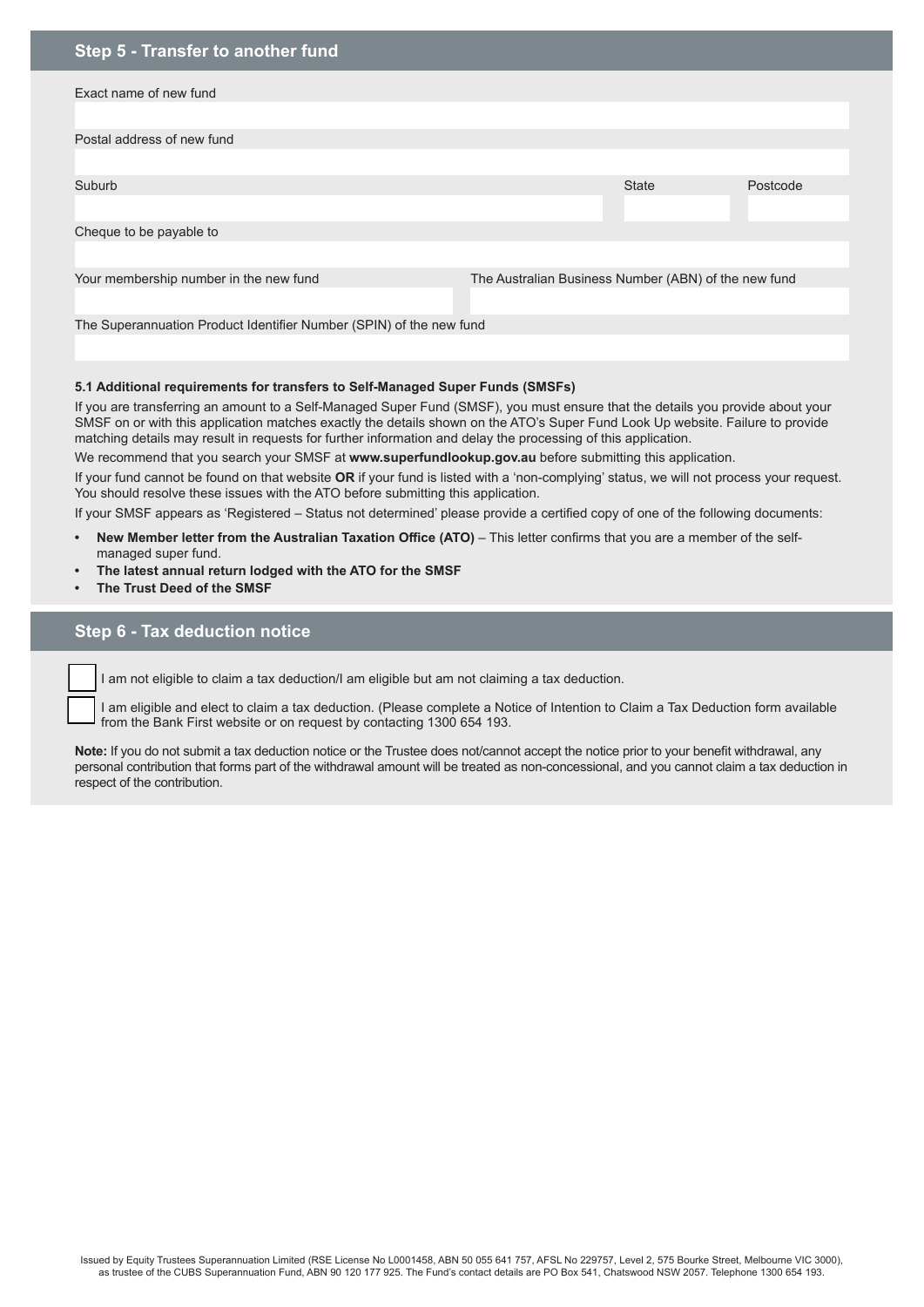| Step 5 - Transfer to another fund                                   |                                                      |              |          |  |  |  |
|---------------------------------------------------------------------|------------------------------------------------------|--------------|----------|--|--|--|
| Exact name of new fund                                              |                                                      |              |          |  |  |  |
| Postal address of new fund                                          |                                                      |              |          |  |  |  |
|                                                                     |                                                      |              |          |  |  |  |
| Suburb                                                              |                                                      | <b>State</b> | Postcode |  |  |  |
|                                                                     |                                                      |              |          |  |  |  |
| Cheque to be payable to                                             |                                                      |              |          |  |  |  |
|                                                                     |                                                      |              |          |  |  |  |
| Your membership number in the new fund                              | The Australian Business Number (ABN) of the new fund |              |          |  |  |  |
|                                                                     |                                                      |              |          |  |  |  |
| The Superannuation Product Identifier Number (SPIN) of the new fund |                                                      |              |          |  |  |  |

#### **5.1 Additional requirements for transfers to Self-Managed Super Funds (SMSFs)**

If you are transferring an amount to a Self-Managed Super Fund (SMSF), you must ensure that the details you provide about your SMSF on or with this application matches exactly the details shown on the ATO's Super Fund Look Up website. Failure to provide matching details may result in requests for further information and delay the processing of this application.

We recommend that you search your SMSF at **www.superfundlookup.gov.au** before submitting this application.

If your fund cannot be found on that website **OR** if your fund is listed with a 'non-complying' status, we will not process your request. You should resolve these issues with the ATO before submitting this application.

If your SMSF appears as 'Registered – Status not determined' please provide a certified copy of one of the following documents:

- **New Member letter from the Australian Taxation Office (ATO) This letter confirms that you are a member of the self**managed super fund.
- **• The latest annual return lodged with the ATO for the SMSF**
- **• The Trust Deed of the SMSF**

#### **Step 6 - Tax deduction notice**

I am not eligible to claim a tax deduction/I am eligible but am not claiming a tax deduction.

I am eligible and elect to claim a tax deduction. (Please complete a Notice of Intention to Claim a Tax Deduction form available from the Bank First website or on request by contacting 1300 654 193.

Note: If you do not submit a tax deduction notice or the Trustee does not/cannot accept the notice prior to your benefit withdrawal, any personal contribution that forms part of the withdrawal amount will be treated as non-concessional, and you cannot claim a tax deduction in respect of the contribution.